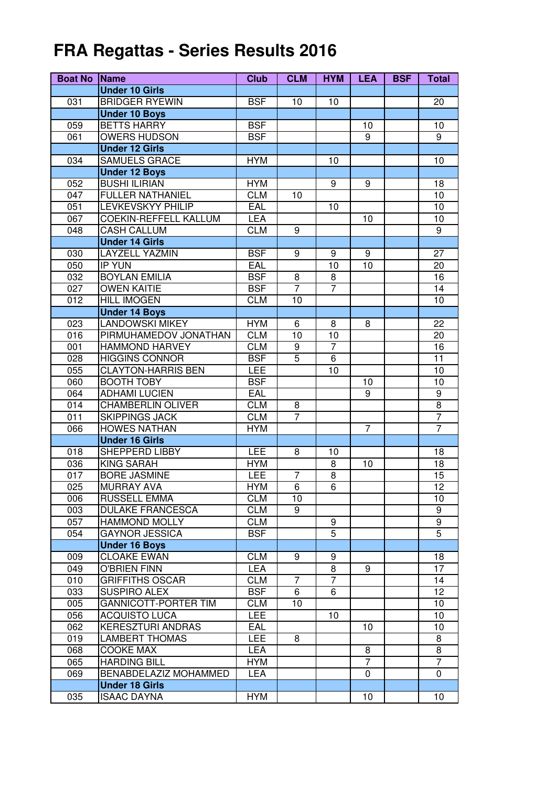## **FRA Regattas - Series Results 2016**

| <b>Boat No</b> | <b>Name</b>                  | <b>Club</b> | <b>CLM</b>       | <b>HYM</b>     | <b>LEA</b> | <b>BSF</b> | <b>Total</b>     |
|----------------|------------------------------|-------------|------------------|----------------|------------|------------|------------------|
|                | <b>Under 10 Girls</b>        |             |                  |                |            |            |                  |
| 031            | <b>BRIDGER RYEWIN</b>        | <b>BSF</b>  | 10               | 10             |            |            | 20               |
|                | <b>Under 10 Boys</b>         |             |                  |                |            |            |                  |
| 059            | <b>BETTS HARRY</b>           | <b>BSF</b>  |                  |                | 10         |            | 10               |
| 061            | <b>OWERS HUDSON</b>          | <b>BSF</b>  |                  |                | 9          |            | 9                |
|                | <b>Under 12 Girls</b>        |             |                  |                |            |            |                  |
| 034            | <b>SAMUELS GRACE</b>         | <b>HYM</b>  |                  | 10             |            |            | 10               |
|                | <b>Under 12 Boys</b>         |             |                  |                |            |            |                  |
| 052            | <b>BUSHI ILIRIAN</b>         | <b>HYM</b>  |                  | 9              | 9          |            | 18               |
| 047            | <b>FULLER NATHANIEL</b>      | <b>CLM</b>  | 10               |                |            |            | 10               |
| 051            | <b>LEVKEVSKYY PHILIP</b>     | <b>EAL</b>  |                  | 10             |            |            | 10               |
| 067            | COEKIN-REFFELL KALLUM        | LEA         |                  |                | 10         |            | 10               |
| 048            | <b>CASH CALLUM</b>           | <b>CLM</b>  | 9                |                |            |            | $\overline{9}$   |
|                | <b>Under 14 Girls</b>        |             |                  |                |            |            |                  |
| 030            | <b>LAYZELL YAZMIN</b>        | <b>BSF</b>  | 9                | 9              | 9          |            | 27               |
| 050            | <b>IP YUN</b>                | EAL         |                  | 10             | 10         |            | 20               |
| 032            | <b>BOYLAN EMILIA</b>         | <b>BSF</b>  | $\bf 8$          | $\bf 8$        |            |            | 16               |
| 027            | <b>OWEN KAITIE</b>           | <b>BSF</b>  | $\overline{7}$   | $\overline{7}$ |            |            | 14               |
| 012            | <b>HILL IMOGEN</b>           | <b>CLM</b>  | 10               |                |            |            | 10               |
|                | <b>Under 14 Boys</b>         |             |                  |                |            |            |                  |
| 023            | <b>LANDOWSKI MIKEY</b>       | <b>HYM</b>  | 6                | 8              | 8          |            | 22               |
| 016            | PIRMUHAMEDOV JONATHAN        | <b>CLM</b>  | 10               | 10             |            |            | 20               |
| 001            | <b>HAMMOND HARVEY</b>        | <b>CLM</b>  | $\boldsymbol{9}$ | $\overline{7}$ |            |            | 16               |
| 028            | <b>HIGGINS CONNOR</b>        | <b>BSF</b>  | $\overline{5}$   | $\overline{6}$ |            |            | 11               |
| 055            | <b>CLAYTON-HARRIS BEN</b>    | LEE         |                  | 10             |            |            | 10               |
| 060            | <b>BOOTH TOBY</b>            | <b>BSF</b>  |                  |                | 10         |            | 10               |
| 064            | <b>ADHAMI LUCIEN</b>         | EAL         |                  |                | 9          |            | $\boldsymbol{9}$ |
| 014            | <b>CHAMBERLIN OLIVER</b>     | <b>CLM</b>  | 8                |                |            |            | $\overline{8}$   |
| 011            | <b>SKIPPINGS JACK</b>        | <b>CLM</b>  | 7                |                |            |            | 7                |
| 066            | <b>HOWES NATHAN</b>          | <b>HYM</b>  |                  |                | 7          |            | $\overline{7}$   |
|                | <b>Under 16 Girls</b>        |             |                  |                |            |            |                  |
| 018            | SHEPPERD LIBBY               | LEE         | 8                | 10             |            |            | 18               |
| 036            | <b>KING SARAH</b>            | <b>HYM</b>  |                  | 8              | 10         |            | 18               |
| 017            | <b>BORE JASMINE</b>          | LEE         | 7                | 8              |            |            | 15               |
| 025            | <b>MURRAY AVA</b>            | <b>HYM</b>  | $\overline{6}$   | $\overline{6}$ |            |            | $\overline{12}$  |
| 006            | <b>RUSSELL EMMA</b>          | <b>CLM</b>  | 10               |                |            |            | 10               |
| 003            | <b>DULAKE FRANCESCA</b>      | <b>CLM</b>  | 9                |                |            |            | 9                |
| 057            | <b>HAMMOND MOLLY</b>         | <b>CLM</b>  |                  | 9              |            |            | 9                |
| 054            | <b>GAYNOR JESSICA</b>        | <b>BSF</b>  |                  | 5              |            |            | 5                |
|                | <b>Under 16 Boys</b>         |             |                  |                |            |            |                  |
| 009            | <b>CLOAKE EWAN</b>           | <b>CLM</b>  | 9                | 9              |            |            | 18               |
| 049            | <b>O'BRIEN FINN</b>          | LEA         |                  | 8              | 9          |            | 17               |
| 010            | <b>GRIFFITHS OSCAR</b>       | <b>CLM</b>  | 7                | $\overline{7}$ |            |            | 14               |
| 033            | <b>SUSPIRO ALEX</b>          | <b>BSF</b>  | 6                | 6              |            |            | 12               |
| 005            | <b>GANNICOTT-PORTER TIM</b>  | <b>CLM</b>  | 10               |                |            |            | 10               |
| 056            | <b>ACQUISTO LUCA</b>         | <b>LEE</b>  |                  | 10             |            |            | 10               |
| 062            | <b>KERESZTURI ANDRAS</b>     | EAL         |                  |                | 10         |            | 10               |
| 019            | <b>LAMBERT THOMAS</b>        | <b>LEE</b>  | 8                |                |            |            | 8                |
| 068            | <b>COOKE MAX</b>             | <b>LEA</b>  |                  |                | 8          |            | 8                |
| 065            | <b>HARDING BILL</b>          | <b>HYM</b>  |                  |                | 7          |            | 7                |
| 069            | <b>BENABDELAZIZ MOHAMMED</b> | <b>LEA</b>  |                  |                | 0          |            | 0                |
|                | <b>Under 18 Girls</b>        |             |                  |                |            |            |                  |
| 035            | <b>ISAAC DAYNA</b>           | <b>HYM</b>  |                  |                | 10         |            | 10               |